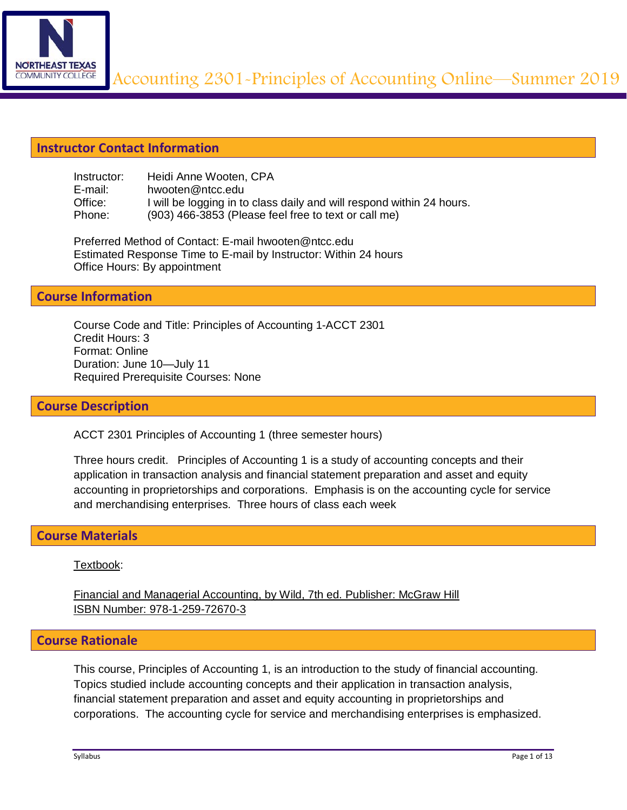

# **Instructor Contact Information**

| Instructor: | Heidi Anne Wooten, CPA                                                |
|-------------|-----------------------------------------------------------------------|
| E-mail:     | hwooten@ntcc.edu                                                      |
| Office:     | I will be logging in to class daily and will respond within 24 hours. |
| Phone:      | (903) 466-3853 (Please feel free to text or call me)                  |

Preferred Method of Contact: E-mail hwooten@ntcc.edu Estimated Response Time to E-mail by Instructor: Within 24 hours Office Hours: By appointment

### **Course Information**

Course Code and Title: Principles of Accounting 1-ACCT 2301 Credit Hours: 3 Format: Online Duration: June 10—July 11 Required Prerequisite Courses: None

#### **Course Description**

ACCT 2301 Principles of Accounting 1 (three semester hours)

Three hours credit. Principles of Accounting 1 is a study of accounting concepts and their application in transaction analysis and financial statement preparation and asset and equity accounting in proprietorships and corporations. Emphasis is on the accounting cycle for service and merchandising enterprises. Three hours of class each week

### **Course Materials**

#### Textbook:

Financial and Managerial Accounting, by Wild, 7th ed. Publisher: McGraw Hill ISBN Number: 978-1-259-72670-3

### **Course Rationale**

This course, Principles of Accounting 1, is an introduction to the study of financial accounting. Topics studied include accounting concepts and their application in transaction analysis, financial statement preparation and asset and equity accounting in proprietorships and corporations. The accounting cycle for service and merchandising enterprises is emphasized.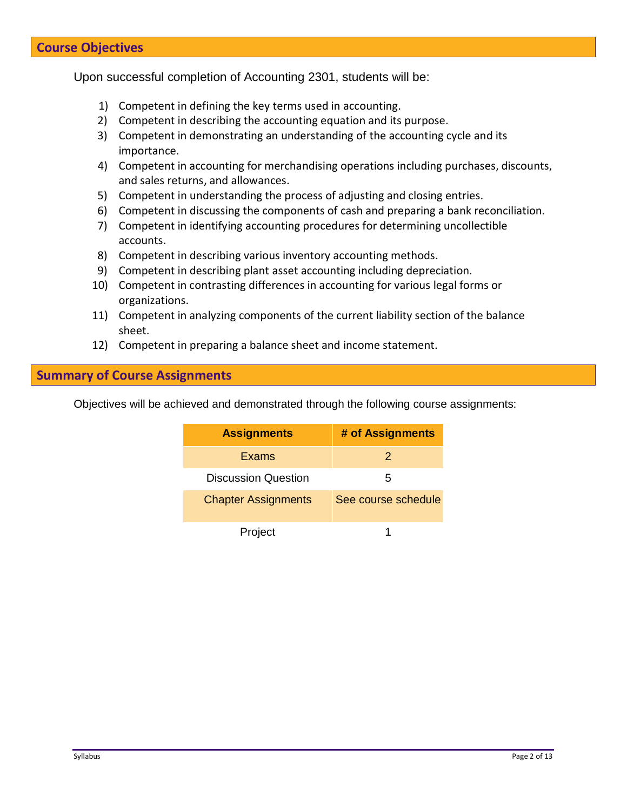# **Course Objectives**

Upon successful completion of Accounting 2301, students will be:

- 1) Competent in defining the key terms used in accounting.
- 2) Competent in describing the accounting equation and its purpose.
- 3) Competent in demonstrating an understanding of the accounting cycle and its importance.
- 4) Competent in accounting for merchandising operations including purchases, discounts, and sales returns, and allowances.
- 5) Competent in understanding the process of adjusting and closing entries.
- 6) Competent in discussing the components of cash and preparing a bank reconciliation.
- 7) Competent in identifying accounting procedures for determining uncollectible accounts.
- 8) Competent in describing various inventory accounting methods.
- 9) Competent in describing plant asset accounting including depreciation.
- 10) Competent in contrasting differences in accounting for various legal forms or organizations.
- 11) Competent in analyzing components of the current liability section of the balance sheet.
- 12) Competent in preparing a balance sheet and income statement.

### **Summary of Course Assignments**

Objectives will be achieved and demonstrated through the following course assignments:

| <b>Assignments</b>         | # of Assignments    |
|----------------------------|---------------------|
| Exams                      | 2                   |
| <b>Discussion Question</b> | 5                   |
| <b>Chapter Assignments</b> | See course schedule |
| Project                    |                     |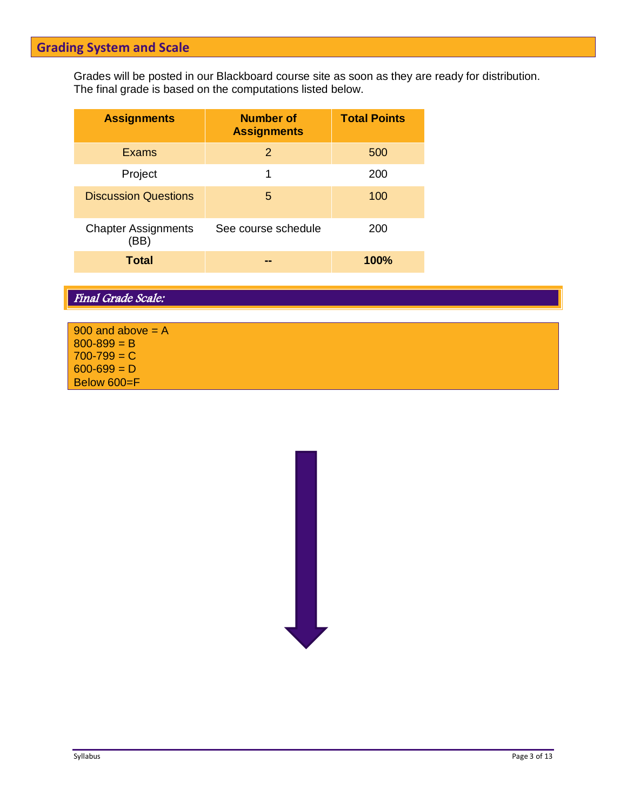# **Grading System and Scale**

Grades will be posted in our Blackboard course site as soon as they are ready for distribution. The final grade is based on the computations listed below.

| <b>Assignments</b>                 | <b>Number of</b><br><b>Assignments</b> | <b>Total Points</b> |
|------------------------------------|----------------------------------------|---------------------|
| <b>Exams</b>                       | 2                                      | 500                 |
| Project                            | 1                                      | 200                 |
| <b>Discussion Questions</b>        | 5                                      | 100                 |
| <b>Chapter Assignments</b><br>(BB) | See course schedule                    | 200                 |
| <b>Total</b>                       |                                        | <b>100%</b>         |

# Final Grade Scale:

| 900 and above $= A$ |  |
|---------------------|--|
| $800 - 899 = B$     |  |
| $700 - 799 = C$     |  |
| $600 - 699 = D$     |  |
| Below 600=F         |  |

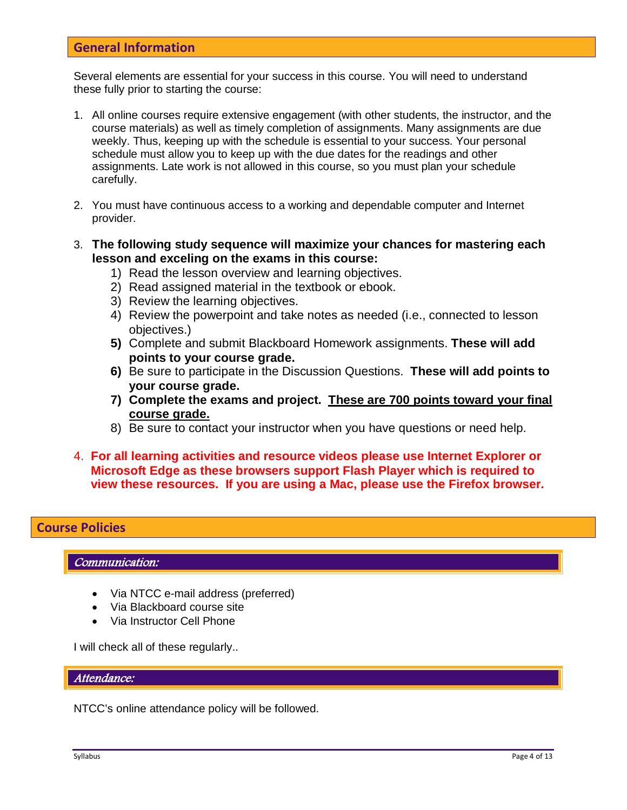### **General Information**

Several elements are essential for your success in this course. You will need to understand these fully prior to starting the course:

- 1. All online courses require extensive engagement (with other students, the instructor, and the course materials) as well as timely completion of assignments. Many assignments are due weekly. Thus, keeping up with the schedule is essential to your success. Your personal schedule must allow you to keep up with the due dates for the readings and other assignments. Late work is not allowed in this course, so you must plan your schedule carefully.
- 2. You must have continuous access to a working and dependable computer and Internet provider.
- 3. **The following study sequence will maximize your chances for mastering each lesson and exceling on the exams in this course:**
	- 1) Read the lesson overview and learning objectives.
	- 2) Read assigned material in the textbook or ebook.
	- 3) Review the learning objectives.
	- 4) Review the powerpoint and take notes as needed (i.e., connected to lesson objectives.)
	- **5)** Complete and submit Blackboard Homework assignments. **These will add points to your course grade.**
	- **6)** Be sure to participate in the Discussion Questions. **These will add points to your course grade.**
	- **7) Complete the exams and project. These are 700 points toward your final course grade.**
	- 8) Be sure to contact your instructor when you have questions or need help.
- 4. **For all learning activities and resource videos please use Internet Explorer or Microsoft Edge as these browsers support Flash Player which is required to view these resources. If you are using a Mac, please use the Firefox browser.**

### **Course Policies**

Communication:

- Via NTCC e-mail address (preferred)
- Via Blackboard course site
- Via Instructor Cell Phone

I will check all of these regularly..

Attendance:

NTCC's online attendance policy will be followed.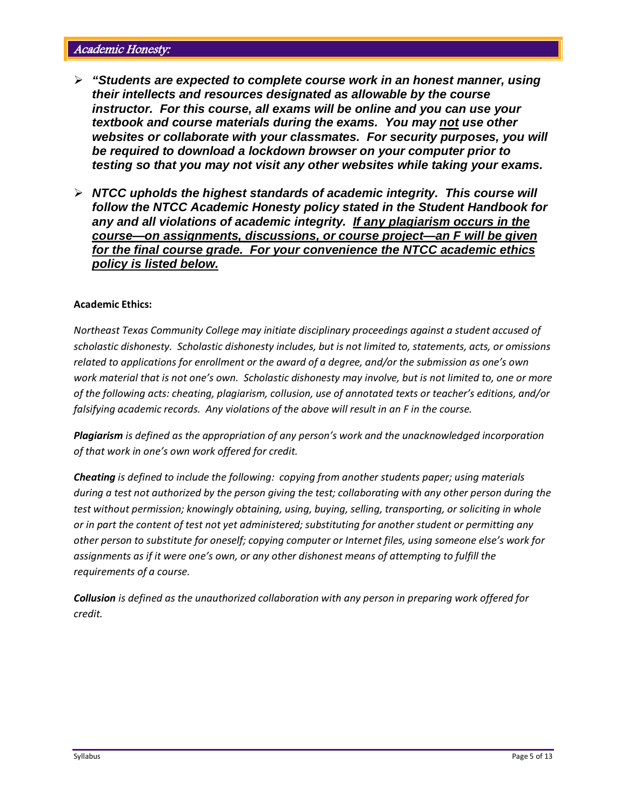- *"Students are expected to complete course work in an honest manner, using their intellects and resources designated as allowable by the course instructor. For this course, all exams will be online and you can use your textbook and course materials during the exams. You may not use other websites or collaborate with your classmates. For security purposes, you will be required to download a lockdown browser on your computer prior to testing so that you may not visit any other websites while taking your exams.*
- *NTCC upholds the highest standards of academic integrity. This course will follow the NTCC Academic Honesty policy stated in the Student Handbook for any and all violations of academic integrity. If any plagiarism occurs in the course—on assignments, discussions, or course project—an F will be given for the final course grade. For your convenience the NTCC academic ethics policy is listed below.*

#### **Academic Ethics:**

*Northeast Texas Community College may initiate disciplinary proceedings against a student accused of scholastic dishonesty. Scholastic dishonesty includes, but is not limited to, statements, acts, or omissions related to applications for enrollment or the award of a degree, and/or the submission as one's own work material that is not one's own. Scholastic dishonesty may involve, but is not limited to, one or more of the following acts: cheating, plagiarism, collusion, use of annotated texts or teacher's editions, and/or falsifying academic records. Any violations of the above will result in an F in the course.*

*Plagiarism is defined as the appropriation of any person's work and the unacknowledged incorporation of that work in one's own work offered for credit.*

*Cheating is defined to include the following: copying from another students paper; using materials during a test not authorized by the person giving the test; collaborating with any other person during the test without permission; knowingly obtaining, using, buying, selling, transporting, or soliciting in whole or in part the content of test not yet administered; substituting for another student or permitting any other person to substitute for oneself; copying computer or Internet files, using someone else's work for assignments as if it were one's own, or any other dishonest means of attempting to fulfill the requirements of a course.*

*Collusion is defined as the unauthorized collaboration with any person in preparing work offered for credit.*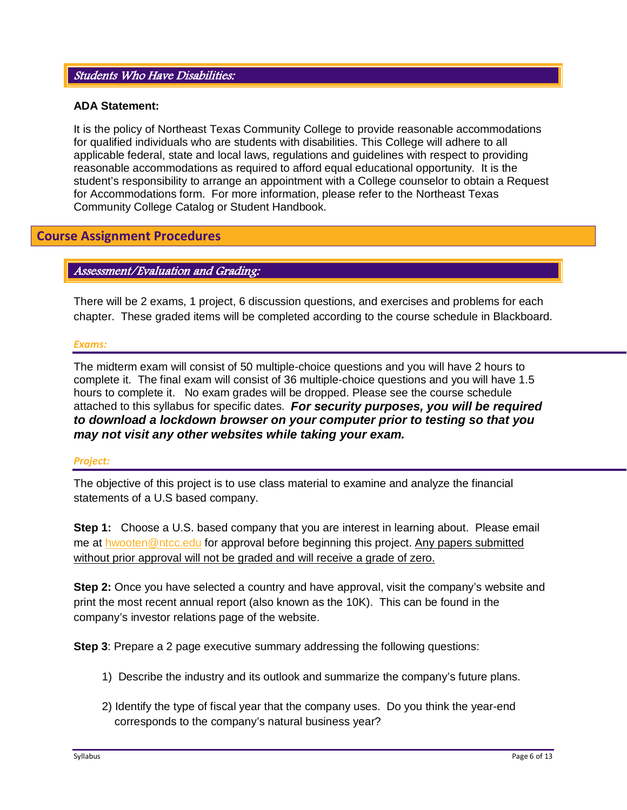#### Students Who Have Disabilities:

#### **ADA Statement:**

It is the policy of Northeast Texas Community College to provide reasonable accommodations for qualified individuals who are students with disabilities. This College will adhere to all applicable federal, state and local laws, regulations and guidelines with respect to providing reasonable accommodations as required to afford equal educational opportunity. It is the student's responsibility to arrange an appointment with a College counselor to obtain a Request for Accommodations form. For more information, please refer to the Northeast Texas Community College Catalog or Student Handbook.

### **Course Assignment Procedures**

### Assessment/Evaluation and Grading:

There will be 2 exams, 1 project, 6 discussion questions, and exercises and problems for each chapter. These graded items will be completed according to the course schedule in Blackboard.

#### *Exams:*

The midterm exam will consist of 50 multiple-choice questions and you will have 2 hours to complete it. The final exam will consist of 36 multiple-choice questions and you will have 1.5 hours to complete it. No exam grades will be dropped. Please see the course schedule attached to this syllabus for specific dates. *For security purposes, you will be required to download a lockdown browser on your computer prior to testing so that you may not visit any other websites while taking your exam.* 

#### *Project:*

The objective of this project is to use class material to examine and analyze the financial statements of a U.S based company.

**Step 1:** Choose a U.S. based company that you are interest in learning about. Please email me at [hwooten@ntcc.edu](mailto:hwooten@ntcc.edu) for approval before beginning this project. Any papers submitted without prior approval will not be graded and will receive a grade of zero.

**Step 2:** Once you have selected a country and have approval, visit the company's website and print the most recent annual report (also known as the 10K). This can be found in the company's investor relations page of the website.

**Step 3:** Prepare a 2 page executive summary addressing the following questions:

- 1) Describe the industry and its outlook and summarize the company's future plans.
- 2) Identify the type of fiscal year that the company uses. Do you think the year-end corresponds to the company's natural business year?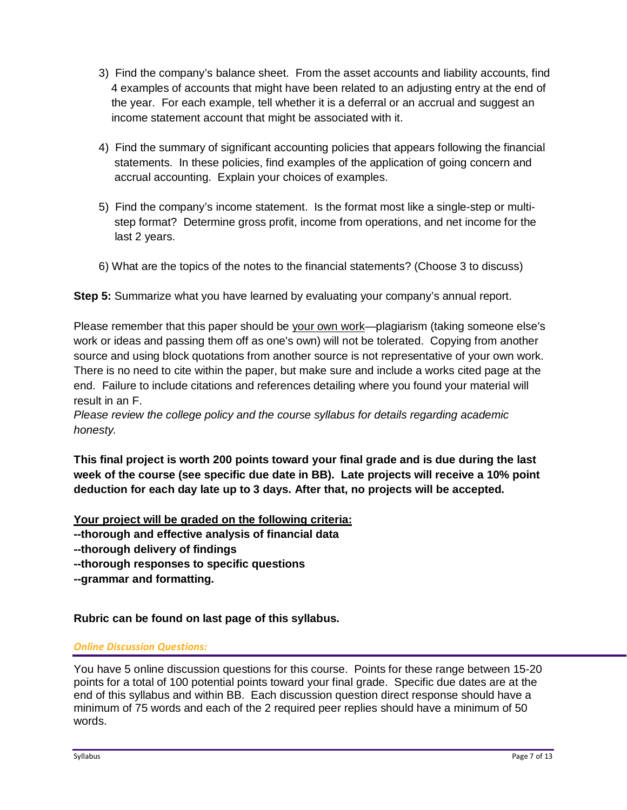- 3) Find the company's balance sheet. From the asset accounts and liability accounts, find 4 examples of accounts that might have been related to an adjusting entry at the end of the year. For each example, tell whether it is a deferral or an accrual and suggest an income statement account that might be associated with it.
- 4) Find the summary of significant accounting policies that appears following the financial statements. In these policies, find examples of the application of going concern and accrual accounting. Explain your choices of examples.
- 5) Find the company's income statement. Is the format most like a single-step or multi step format? Determine gross profit, income from operations, and net income for the last 2 years.
- 6) What are the topics of the notes to the financial statements? (Choose 3 to discuss)

**Step 5:** Summarize what you have learned by evaluating your company's annual report.

Please remember that this paper should be your own work—plagiarism (taking someone else's work or ideas and passing them off as one's own) will not be tolerated. Copying from another source and using block quotations from another source is not representative of your own work. There is no need to cite within the paper, but make sure and include a works cited page at the end. Failure to include citations and references detailing where you found your material will result in an F.

*Please review the college policy and the course syllabus for details regarding academic honesty.*

**This final project is worth 200 points toward your final grade and is due during the last week of the course (see specific due date in BB). Late projects will receive a 10% point deduction for each day late up to 3 days. After that, no projects will be accepted.**

**Your project will be graded on the following criteria: --thorough and effective analysis of financial data --thorough delivery of findings --thorough responses to specific questions --grammar and formatting.** 

**Rubric can be found on last page of this syllabus.**

### *Online Discussion Questions:*

You have 5 online discussion questions for this course. Points for these range between 15-20 points for a total of 100 potential points toward your final grade. Specific due dates are at the end of this syllabus and within BB. Each discussion question direct response should have a minimum of 75 words and each of the 2 required peer replies should have a minimum of 50 words.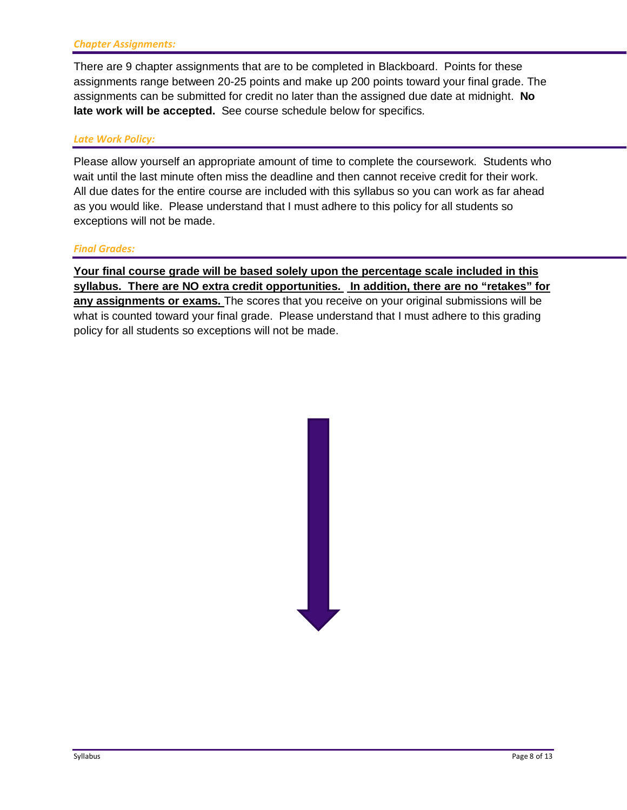There are 9 chapter assignments that are to be completed in Blackboard. Points for these assignments range between 20-25 points and make up 200 points toward your final grade. The assignments can be submitted for credit no later than the assigned due date at midnight. **No late work will be accepted.** See course schedule below for specifics.

#### *Late Work Policy:*

Please allow yourself an appropriate amount of time to complete the coursework. Students who wait until the last minute often miss the deadline and then cannot receive credit for their work. All due dates for the entire course are included with this syllabus so you can work as far ahead as you would like. Please understand that I must adhere to this policy for all students so exceptions will not be made.

#### *Final Grades:*

**Your final course grade will be based solely upon the percentage scale included in this syllabus. There are NO extra credit opportunities. In addition, there are no "retakes" for any assignments or exams.** The scores that you receive on your original submissions will be what is counted toward your final grade. Please understand that I must adhere to this grading policy for all students so exceptions will not be made.

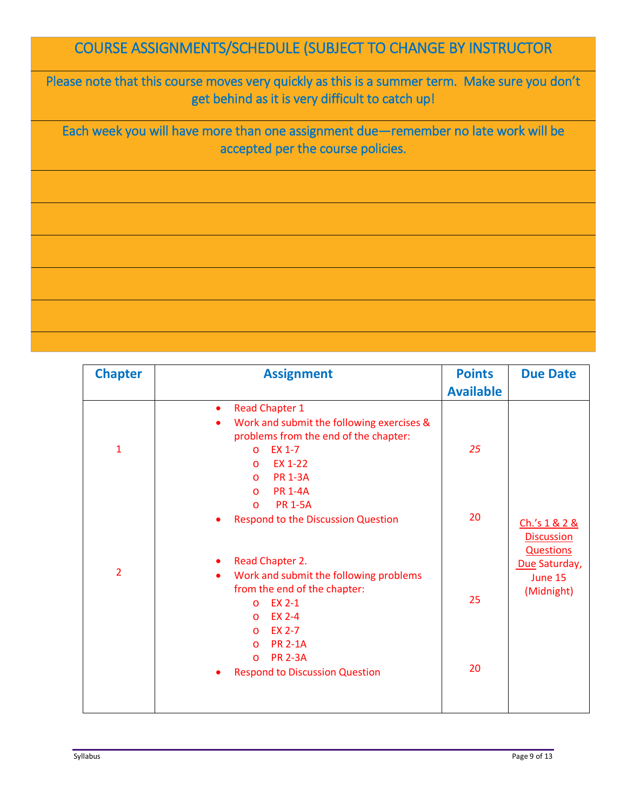# COURSE ASSIGNMENTS/SCHEDULE (SUBJECT TO CHANGE BY INSTRUCTOR

Please note that this course moves very quickly as this is a summer term. Make sure you don't get behind as it is very difficult to catch up!

Each week you will have more than one assignment due—remember no late work will be accepted per the course policies.

| <b>Chapter</b> | <b>Assignment</b>                                                                                                                                                                                                                                                       | <b>Points</b><br><b>Available</b> | <b>Due Date</b>                                        |
|----------------|-------------------------------------------------------------------------------------------------------------------------------------------------------------------------------------------------------------------------------------------------------------------------|-----------------------------------|--------------------------------------------------------|
| $\mathbf{1}$   | <b>Read Chapter 1</b><br>$\bullet$<br>Work and submit the following exercises &<br>$\bullet$<br>problems from the end of the chapter:<br>EX 1-7<br>$\circ$<br>EX 1-22<br>$\circ$<br><b>PR 1-3A</b><br>$\circ$<br><b>PR 1-4A</b><br>$\circ$<br><b>PR 1-5A</b><br>$\circ$ | 25                                |                                                        |
|                | <b>Respond to the Discussion Question</b>                                                                                                                                                                                                                               | 20                                | Ch.'s 1 & 2 &<br><b>Discussion</b><br><b>Questions</b> |
| $\overline{2}$ | Read Chapter 2.<br>٠<br>Work and submit the following problems<br>$\bullet$<br>from the end of the chapter:<br>EX 2-1<br>$\circ$<br>EX 2-4<br>$\circ$<br>EX 2-7<br>$\circ$<br><b>PR 2-1A</b>                                                                            | 25                                | Due Saturday,<br>June 15<br>(Midnight)                 |
|                | $\circ$<br><b>PR 2-3A</b><br>$\circ$<br><b>Respond to Discussion Question</b>                                                                                                                                                                                           | 20                                |                                                        |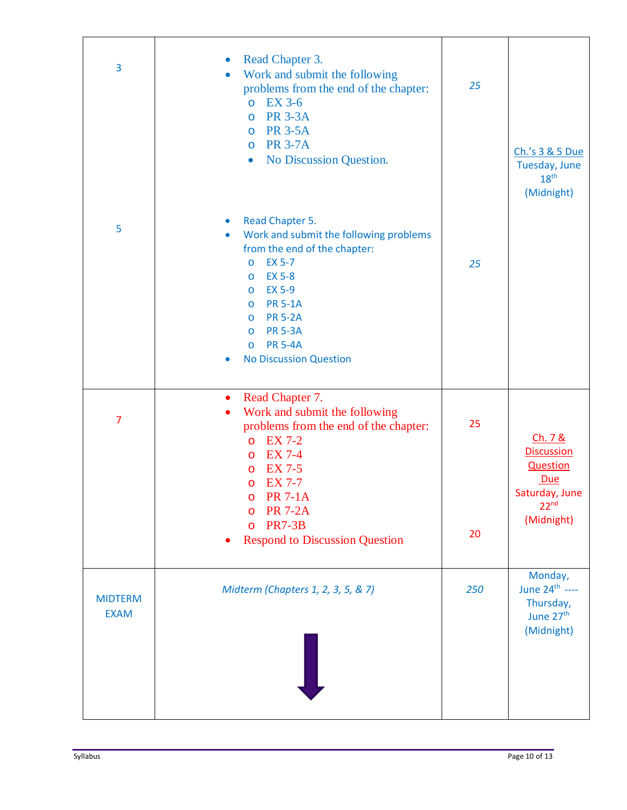| 3                             | Read Chapter 3.<br>$\bullet$<br>Work and submit the following<br>$\bullet$<br>problems from the end of the chapter:<br><b>EX 3-6</b><br>$\circ$<br><b>PR 3-3A</b><br>$\circ$<br><b>PR 3-5A</b><br>O<br><b>PR 3-7A</b><br>$\overline{O}$<br>No Discussion Question.<br>$\bullet$                                                                  | 25       | Ch.'s 3 & 5 Due<br>Tuesday, June<br>18 <sup>th</sup><br>(Midnight)                                         |
|-------------------------------|--------------------------------------------------------------------------------------------------------------------------------------------------------------------------------------------------------------------------------------------------------------------------------------------------------------------------------------------------|----------|------------------------------------------------------------------------------------------------------------|
| 5                             | Read Chapter 5.<br>$\bullet$<br>Work and submit the following problems<br>$\bullet$<br>from the end of the chapter:<br><b>EX 5-7</b><br>$\circ$<br><b>EX 5-8</b><br>O<br><b>EX 5-9</b><br>O<br><b>PR 5-1A</b><br>O<br><b>PR 5-2A</b><br>O<br><b>PR 5-3A</b><br>O<br><b>PR 5-4A</b><br>$\circ$<br><b>No Discussion Question</b><br>$\bullet$      | 25       |                                                                                                            |
| 7                             | Read Chapter 7.<br>$\bullet$<br>Work and submit the following<br>$\bullet$<br>problems from the end of the chapter:<br><b>EX 7-2</b><br>$\circ$<br><b>EX 7-4</b><br>$\circ$<br><b>EX 7-5</b><br>O<br><b>EX 7-7</b><br>$\circ$<br><b>PR 7-1A</b><br>O<br><b>PR 7-2A</b><br>O<br><b>PR7-3B</b><br>$\circ$<br><b>Respond to Discussion Question</b> | 25<br>20 | Ch. 7 &<br><b>Discussion</b><br><b>Question</b><br>Due<br>Saturday, June<br>22 <sup>nd</sup><br>(Midnight) |
| <b>MIDTERM</b><br><b>EXAM</b> | Midterm (Chapters 1, 2, 3, 5, & 7)                                                                                                                                                                                                                                                                                                               | 250      | Monday,<br>June 24 <sup>th</sup> ----<br>Thursday,<br>June 27 <sup>th</sup><br>(Midnight)                  |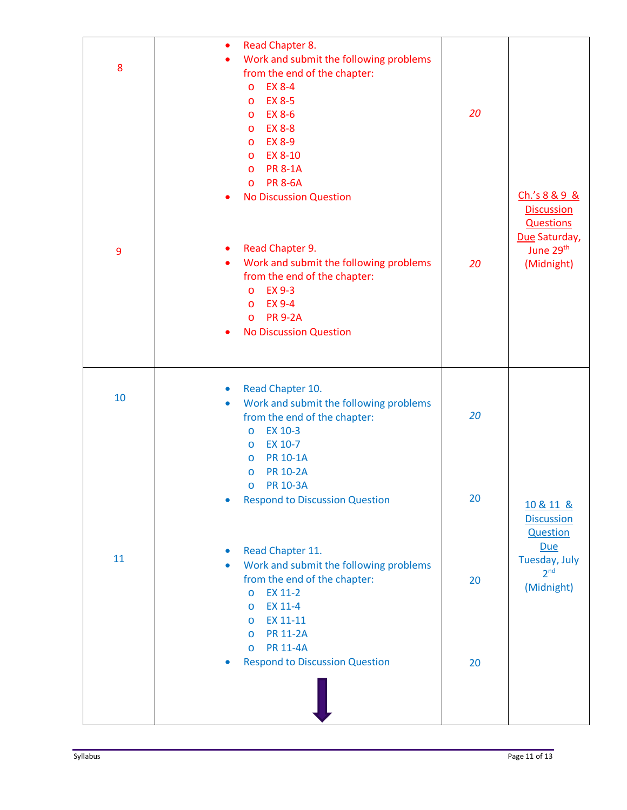| 8  | Read Chapter 8.<br>٠<br>Work and submit the following problems<br>$\bullet$<br>from the end of the chapter:<br><b>EX 8-4</b><br>$\circ$<br><b>EX 8-5</b><br>$\circ$<br><b>EX 8-6</b><br>$\circ$<br><b>EX 8-8</b><br>$\circ$<br><b>EX 8-9</b><br>$\circ$<br>EX 8-10<br>$\circ$<br><b>PR 8-1A</b><br>$\circ$<br><b>PR 8-6A</b><br>$\circ$<br><b>No Discussion Question</b> | 20                                       | Ch.'s 8 & 9 &<br><b>Discussion</b><br><b>Questions</b> |
|----|--------------------------------------------------------------------------------------------------------------------------------------------------------------------------------------------------------------------------------------------------------------------------------------------------------------------------------------------------------------------------|------------------------------------------|--------------------------------------------------------|
| 9  | Read Chapter 9.<br>٠<br>Work and submit the following problems<br>20<br>from the end of the chapter:<br><b>EX 9-3</b><br>$\circ$<br><b>EX 9-4</b><br>$\circ$<br><b>PR 9-2A</b><br>$\circ$<br><b>No Discussion Question</b>                                                                                                                                               | Due Saturday,<br>June 29th<br>(Midnight) |                                                        |
| 10 | Read Chapter 10.<br>$\bullet$<br>Work and submit the following problems<br>$\bullet$<br>from the end of the chapter:<br>EX 10-3<br>$\circ$<br>EX 10-7<br>$\circ$<br><b>PR 10-1A</b><br>$\circ$<br><b>PR 10-2A</b><br>$\circ$                                                                                                                                             | 20                                       |                                                        |
|    | <b>PR 10-3A</b><br>$\circ$<br><b>Respond to Discussion Question</b><br>$\bullet$                                                                                                                                                                                                                                                                                         | 20                                       | 10 & 11 &<br><b>Discussion</b><br><b>Question</b>      |
| 11 | Read Chapter 11.<br>$\bullet$<br>Work and submit the following problems<br>$\bullet$<br>from the end of the chapter:<br>EX 11-2<br>$\circ$<br>EX 11-4<br>$\circ$<br>EX 11-11<br>$\circ$<br><b>PR 11-2A</b><br>$\circ$<br><b>PR 11-4A</b><br>$\circ$                                                                                                                      | 20                                       | Due<br>Tuesday, July<br>2 <sup>nd</sup><br>(Midnight)  |
|    | <b>Respond to Discussion Question</b><br>$\bullet$                                                                                                                                                                                                                                                                                                                       | 20                                       |                                                        |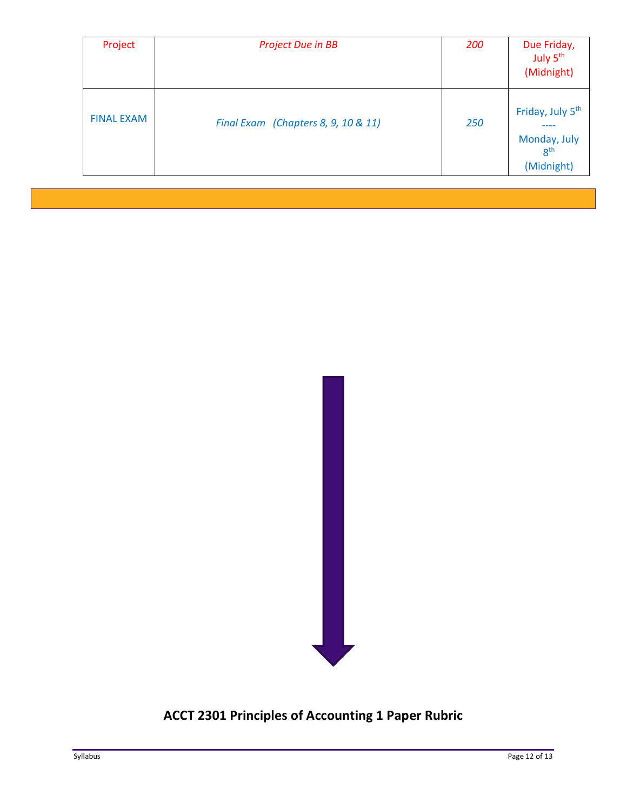| Project           | <b>Project Due in BB</b>            | <b>200</b> | Due Friday,<br>July 5 <sup>th</sup><br>(Midnight)                             |
|-------------------|-------------------------------------|------------|-------------------------------------------------------------------------------|
| <b>FINAL EXAM</b> | Final Exam (Chapters 8, 9, 10 & 11) | 250        | Friday, July 5 <sup>th</sup><br>Monday, July<br>8 <sup>th</sup><br>(Midnight) |



# **ACCT 2301 Principles of Accounting 1 Paper Rubric**